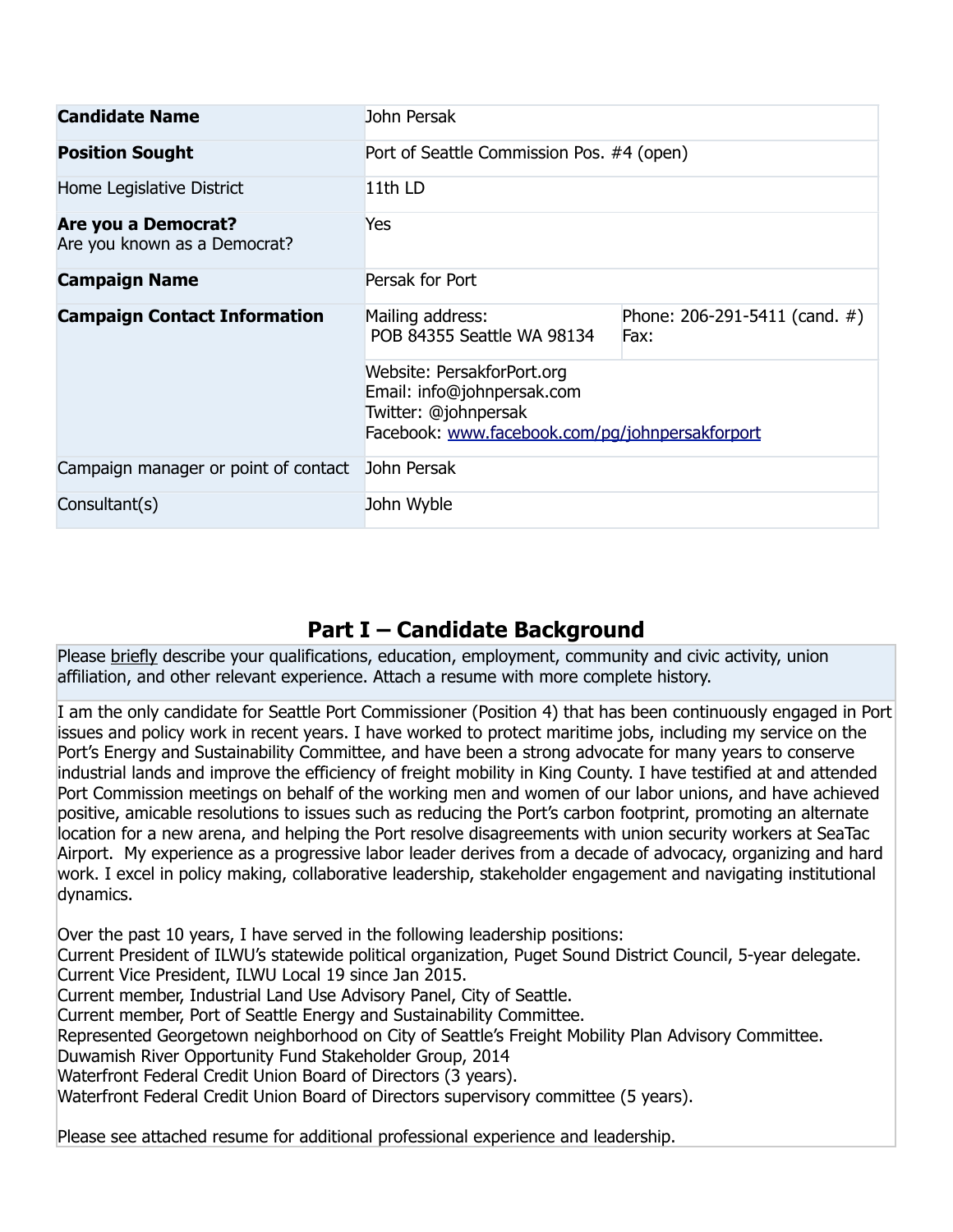| <b>Candidate Name</b>                               | John Persak                                                                                                                         |                                       |  |
|-----------------------------------------------------|-------------------------------------------------------------------------------------------------------------------------------------|---------------------------------------|--|
| <b>Position Sought</b>                              | Port of Seattle Commission Pos. #4 (open)                                                                                           |                                       |  |
| Home Legislative District                           | 11th LD                                                                                                                             |                                       |  |
| Are you a Democrat?<br>Are you known as a Democrat? | Yes                                                                                                                                 |                                       |  |
| <b>Campaign Name</b>                                | Persak for Port                                                                                                                     |                                       |  |
| <b>Campaign Contact Information</b>                 | Mailing address:<br>POB 84355 Seattle WA 98134                                                                                      | Phone: 206-291-5411 (cand. #)<br>Fax: |  |
|                                                     | Website: PersakforPort.org<br>Email: info@johnpersak.com<br>Twitter: @johnpersak<br>Facebook: www.facebook.com/pg/johnpersakforport |                                       |  |
| Campaign manager or point of contact                | John Persak                                                                                                                         |                                       |  |
| Consultant(s)                                       | John Wyble                                                                                                                          |                                       |  |

# **Part I – Candidate Background**

Please briefly describe your qualifications, education, employment, community and civic activity, union affiliation, and other relevant experience. Attach a resume with more complete history.

I am the only candidate for Seattle Port Commissioner (Position 4) that has been continuously engaged in Port issues and policy work in recent years. I have worked to protect maritime jobs, including my service on the Port's Energy and Sustainability Committee, and have been a strong advocate for many years to conserve industrial lands and improve the efficiency of freight mobility in King County. I have testified at and attended Port Commission meetings on behalf of the working men and women of our labor unions, and have achieved positive, amicable resolutions to issues such as reducing the Port's carbon footprint, promoting an alternate location for a new arena, and helping the Port resolve disagreements with union security workers at SeaTac Airport. My experience as a progressive labor leader derives from a decade of advocacy, organizing and hard work. I excel in policy making, collaborative leadership, stakeholder engagement and navigating institutional dynamics.

Over the past 10 years, I have served in the following leadership positions: Current President of ILWU's statewide political organization, Puget Sound District Council, 5-year delegate. Current Vice President, ILWU Local 19 since Jan 2015. Current member, Industrial Land Use Advisory Panel, City of Seattle. Current member, Port of Seattle Energy and Sustainability Committee. Represented Georgetown neighborhood on City of Seattle's Freight Mobility Plan Advisory Committee. Duwamish River Opportunity Fund Stakeholder Group, 2014 Waterfront Federal Credit Union Board of Directors (3 years). Waterfront Federal Credit Union Board of Directors supervisory committee (5 years).

Please see attached resume for additional professional experience and leadership.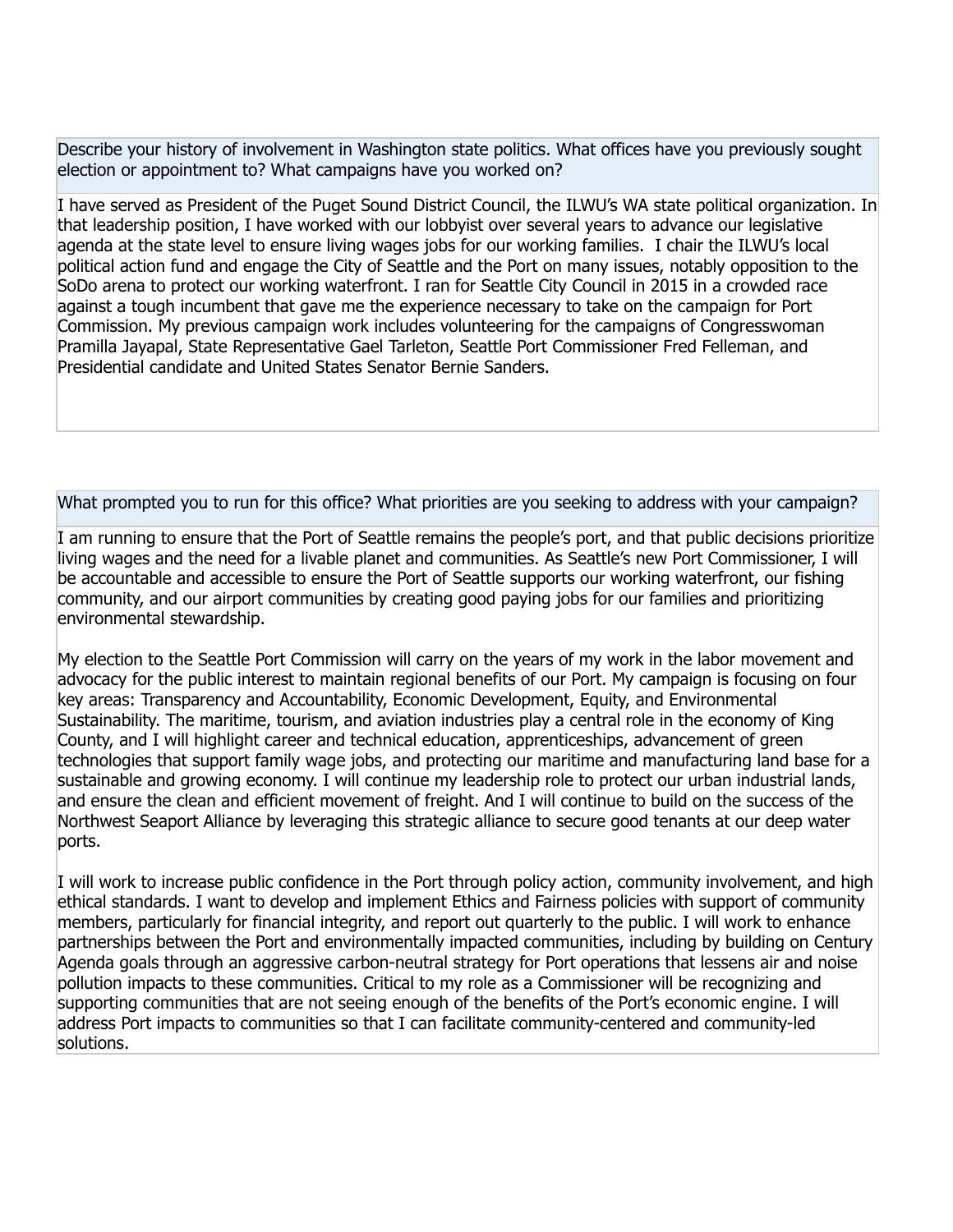Describe your history of involvement in Washington state politics. What offices have you previously sought election or appointment to? What campaigns have you worked on?

I have served as President of the Puget Sound District Council, the ILWU's WA state political organization. In that leadership position, I have worked with our lobbyist over several years to advance our legislative agenda at the state level to ensure living wages jobs for our working families. I chair the ILWU's local political action fund and engage the City of Seattle and the Port on many issues, notably opposition to the SoDo arena to protect our working waterfront. I ran for Seattle City Council in 2015 in a crowded race against a tough incumbent that gave me the experience necessary to take on the campaign for Port Commission. My previous campaign work includes volunteering for the campaigns of Congresswoman Pramilla Jayapal, State Representative Gael Tarleton, Seattle Port Commissioner Fred Felleman, and Presidential candidate and United States Senator Bernie Sanders.

What prompted you to run for this office? What priorities are you seeking to address with your campaign?

I am running to ensure that the Port of Seattle remains the people's port, and that public decisions prioritize living wages and the need for a livable planet and communities. As Seattle's new Port Commissioner, I will be accountable and accessible to ensure the Port of Seattle supports our working waterfront, our fishing community, and our airport communities by creating good paying jobs for our families and prioritizing environmental stewardship.

My election to the Seattle Port Commission will carry on the years of my work in the labor movement and advocacy for the public interest to maintain regional benefits of our Port. My campaign is focusing on four key areas: Transparency and Accountability, Economic Development, Equity, and Environmental Sustainability. The maritime, tourism, and aviation industries play a central role in the economy of King County, and I will highlight career and technical education, apprenticeships, advancement of green technologies that support family wage jobs, and protecting our maritime and manufacturing land base for a sustainable and growing economy. I will continue my leadership role to protect our urban industrial lands, and ensure the clean and efficient movement of freight. And I will continue to build on the success of the Northwest Seaport Alliance by leveraging this strategic alliance to secure good tenants at our deep water ports.

I will work to increase public confidence in the Port through policy action, community involvement, and high ethical standards. I want to develop and implement Ethics and Fairness policies with support of community members, particularly for financial integrity, and report out quarterly to the public. I will work to enhance partnerships between the Port and environmentally impacted communities, including by building on Century Agenda goals through an aggressive carbon-neutral strategy for Port operations that lessens air and noise pollution impacts to these communities. Critical to my role as a Commissioner will be recognizing and supporting communities that are not seeing enough of the benefits of the Port's economic engine. I will address Port impacts to communities so that I can facilitate community-centered and community-led solutions.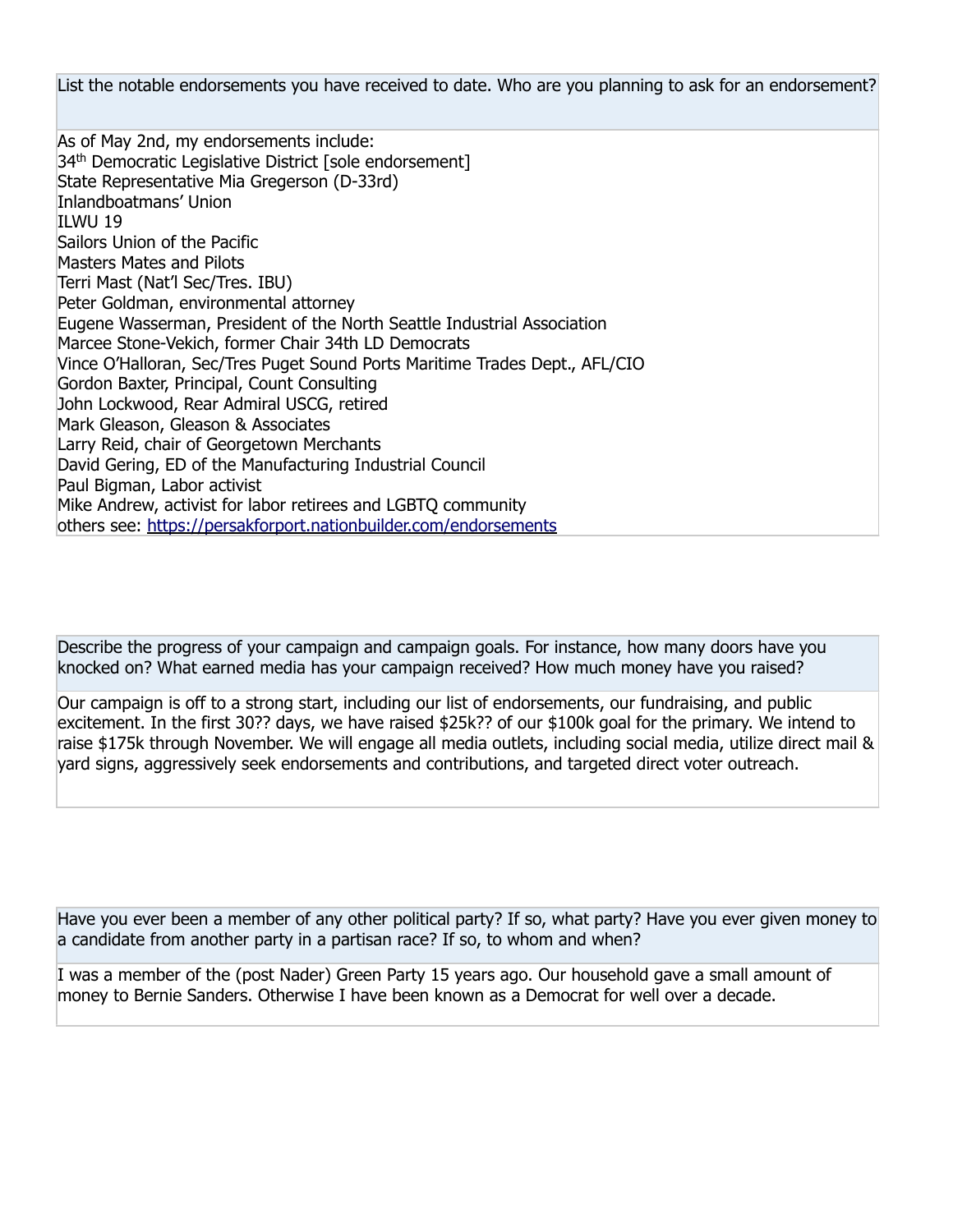List the notable endorsements you have received to date. Who are you planning to ask for an endorsement?

As of May 2nd, my endorsements include: 34<sup>th</sup> Democratic Legislative District [sole endorsement] State Representative Mia Gregerson (D-33rd) Inlandboatmans' Union ILWU 19 Sailors Union of the Pacific Masters Mates and Pilots Terri Mast (Nat'l Sec/Tres. IBU) Peter Goldman, environmental attorney Eugene Wasserman, President of the North Seattle Industrial Association Marcee Stone-Vekich, former Chair 34th LD Democrats Vince O'Halloran, Sec/Tres Puget Sound Ports Maritime Trades Dept., AFL/CIO Gordon Baxter, Principal, Count Consulting John Lockwood, Rear Admiral USCG, retired Mark Gleason, Gleason & Associates Larry Reid, chair of Georgetown Merchants David Gering, ED of the Manufacturing Industrial Council Paul Bigman, Labor activist Mike Andrew, activist for labor retirees and LGBTQ community others see: <https://persakforport.nationbuilder.com/endorsements>

Describe the progress of your campaign and campaign goals. For instance, how many doors have you knocked on? What earned media has your campaign received? How much money have you raised?

Our campaign is off to a strong start, including our list of endorsements, our fundraising, and public excitement. In the first 30?? days, we have raised \$25k?? of our \$100k goal for the primary. We intend to raise \$175k through November. We will engage all media outlets, including social media, utilize direct mail & yard signs, aggressively seek endorsements and contributions, and targeted direct voter outreach.

Have you ever been a member of any other political party? If so, what party? Have you ever given money to a candidate from another party in a partisan race? If so, to whom and when?

I was a member of the (post Nader) Green Party 15 years ago. Our household gave a small amount of money to Bernie Sanders. Otherwise I have been known as a Democrat for well over a decade.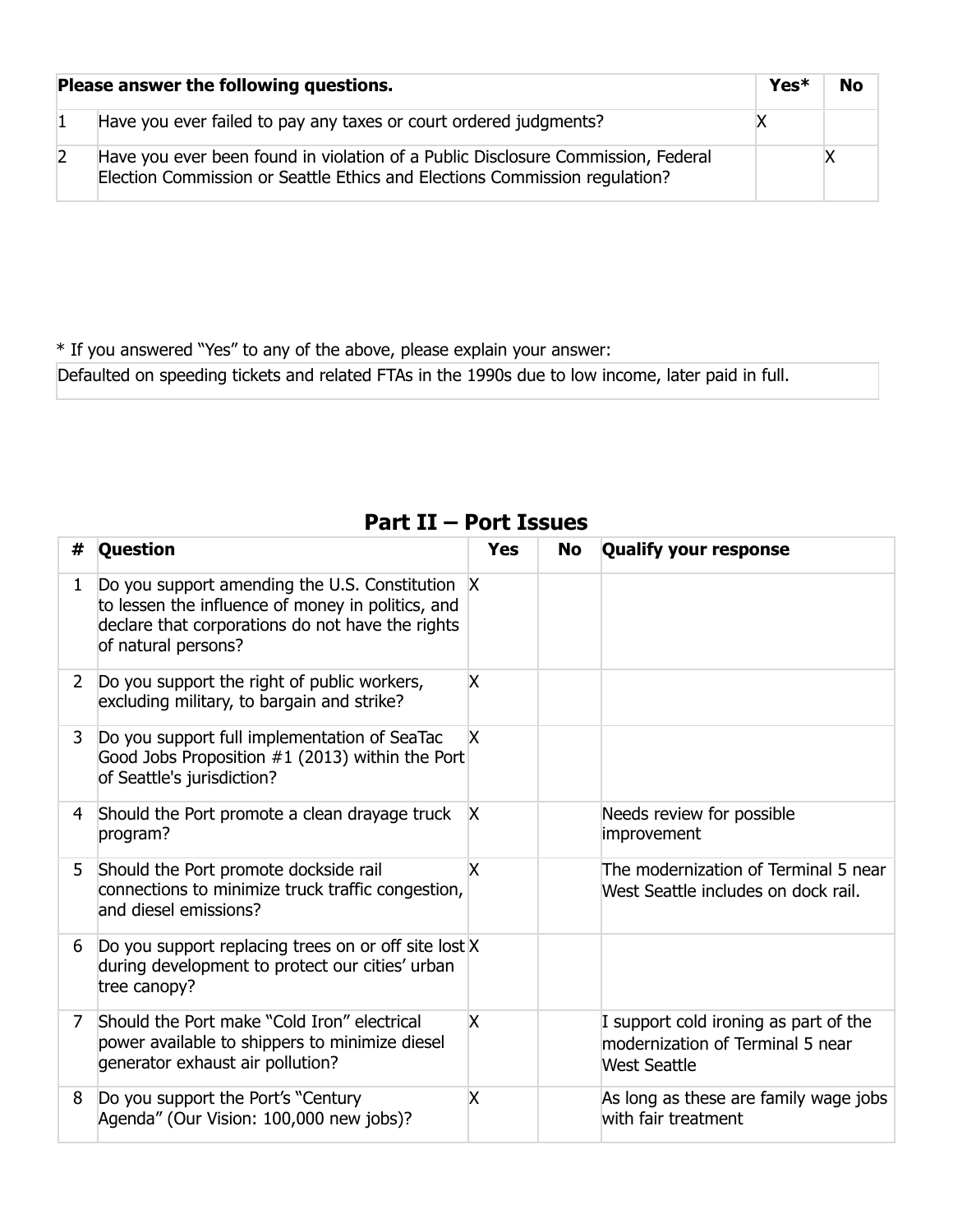| Please answer the following questions. |                                                                                                                                                                | $Yes*$ | <b>No</b> |
|----------------------------------------|----------------------------------------------------------------------------------------------------------------------------------------------------------------|--------|-----------|
|                                        | Have you ever failed to pay any taxes or court ordered judgments?                                                                                              |        |           |
|                                        | Have you ever been found in violation of a Public Disclosure Commission, Federal<br>Election Commission or Seattle Ethics and Elections Commission regulation? |        |           |

\* If you answered "Yes" to any of the above, please explain your answer:

Defaulted on speeding tickets and related FTAs in the 1990s due to low income, later paid in full.

| #              | <b>Question</b>                                                                                                                                                                 | <b>Yes</b> | <b>No</b> | <b>Qualify your response</b>                                                                     |
|----------------|---------------------------------------------------------------------------------------------------------------------------------------------------------------------------------|------------|-----------|--------------------------------------------------------------------------------------------------|
| 1              | Do you support amending the U.S. Constitution X<br>to lessen the influence of money in politics, and<br>declare that corporations do not have the rights<br>of natural persons? |            |           |                                                                                                  |
| $\mathbf{2}$   | Do you support the right of public workers,<br>excluding military, to bargain and strike?                                                                                       | X.         |           |                                                                                                  |
| 3              | Do you support full implementation of SeaTac<br>Good Jobs Proposition #1 (2013) within the Port<br>of Seattle's jurisdiction?                                                   | X.         |           |                                                                                                  |
|                | 4 Should the Port promote a clean drayage truck<br>program?                                                                                                                     | X.         |           | Needs review for possible<br>improvement                                                         |
| 5              | Should the Port promote dockside rail<br>connections to minimize truck traffic congestion,<br>and diesel emissions?                                                             | X          |           | The modernization of Terminal 5 near<br>West Seattle includes on dock rail.                      |
| 6              | Do you support replacing trees on or off site lost X<br>during development to protect our cities' urban<br>tree canopy?                                                         |            |           |                                                                                                  |
| $\overline{7}$ | Should the Port make "Cold Iron" electrical<br>power available to shippers to minimize diesel<br>generator exhaust air pollution?                                               | X          |           | I support cold ironing as part of the<br>modernization of Terminal 5 near<br><b>West Seattle</b> |
| 8              | Do you support the Port's "Century<br>Agenda" (Our Vision: 100,000 new jobs)?                                                                                                   | X          |           | As long as these are family wage jobs<br>with fair treatment                                     |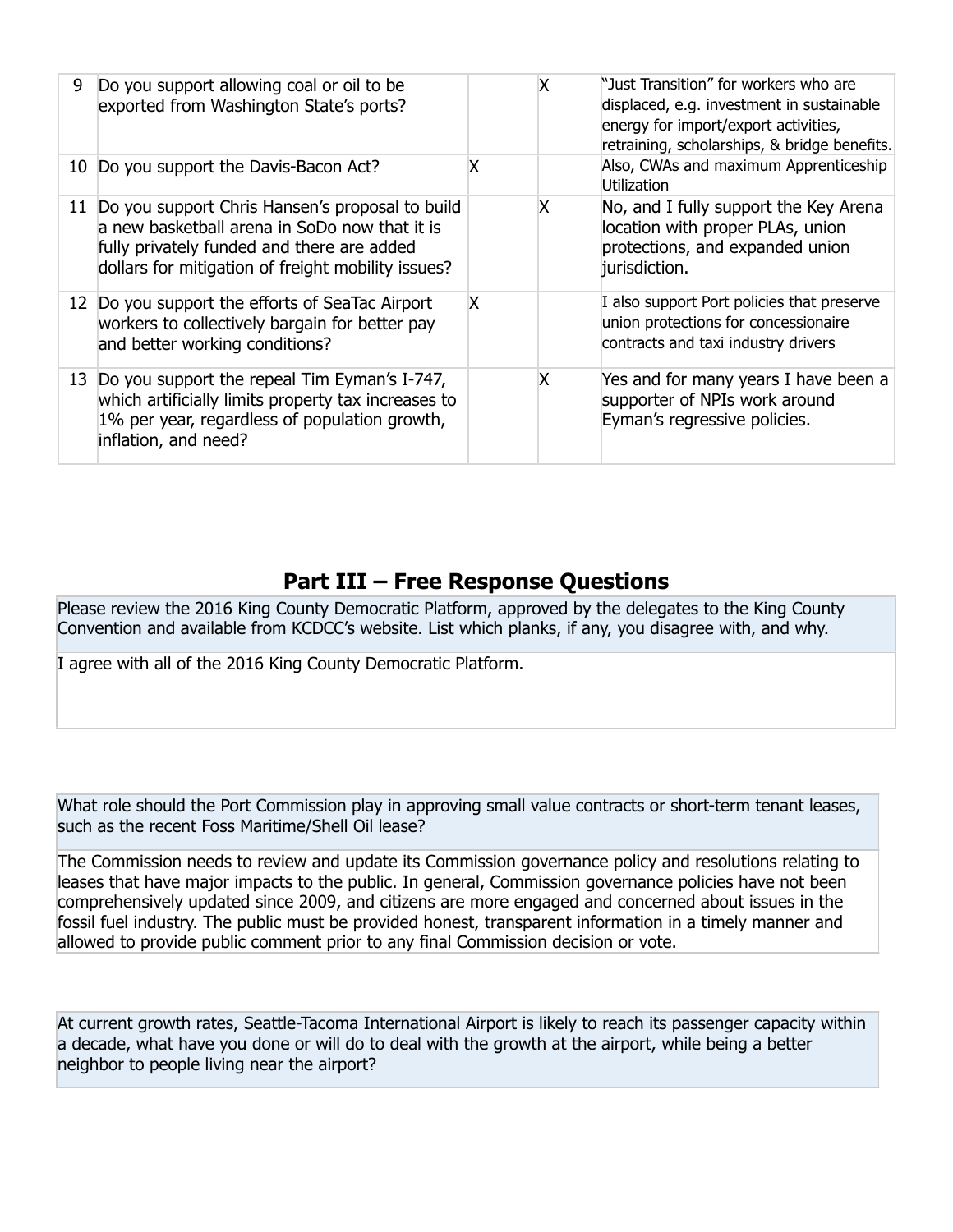| 9  | Do you support allowing coal or oil to be<br>exported from Washington State's ports?                                                                                                                 |   | x | "Just Transition" for workers who are<br>displaced, e.g. investment in sustainable<br>energy for import/export activities,<br>retraining, scholarships, & bridge benefits. |
|----|------------------------------------------------------------------------------------------------------------------------------------------------------------------------------------------------------|---|---|----------------------------------------------------------------------------------------------------------------------------------------------------------------------------|
|    | 10 Do you support the Davis-Bacon Act?                                                                                                                                                               |   |   | Also, CWAs and maximum Apprenticeship<br>Utilization                                                                                                                       |
| 11 | Do you support Chris Hansen's proposal to build<br>a new basketball arena in SoDo now that it is<br>fully privately funded and there are added<br>dollars for mitigation of freight mobility issues? |   |   | No, and I fully support the Key Arena<br>location with proper PLAs, union<br>protections, and expanded union<br>jurisdiction.                                              |
|    | 12 Do you support the efforts of SeaTac Airport<br>workers to collectively bargain for better pay<br>and better working conditions?                                                                  | X |   | I also support Port policies that preserve<br>union protections for concessionaire<br>contracts and taxi industry drivers                                                  |
|    | 13 Do you support the repeal Tim Eyman's I-747,<br>which artificially limits property tax increases to<br>1% per year, regardless of population growth,<br>inflation, and need?                      |   |   | Yes and for many years I have been a<br>supporter of NPIs work around<br>Eyman's regressive policies.                                                                      |

# **Part III – Free Response Questions**

Please review the 2016 King County Democratic Platform, approved by the delegates to the King County Convention and available from KCDCC's website. List which planks, if any, you disagree with, and why.

I agree with all of the 2016 King County Democratic Platform.

What role should the Port Commission play in approving small value contracts or short-term tenant leases, such as the recent Foss Maritime/Shell Oil lease?

The Commission needs to review and update its Commission governance policy and resolutions relating to leases that have major impacts to the public. In general, Commission governance policies have not been comprehensively updated since 2009, and citizens are more engaged and concerned about issues in the fossil fuel industry. The public must be provided honest, transparent information in a timely manner and allowed to provide public comment prior to any final Commission decision or vote.

At current growth rates, Seattle-Tacoma International Airport is likely to reach its passenger capacity within a decade, what have you done or will do to deal with the growth at the airport, while being a better neighbor to people living near the airport?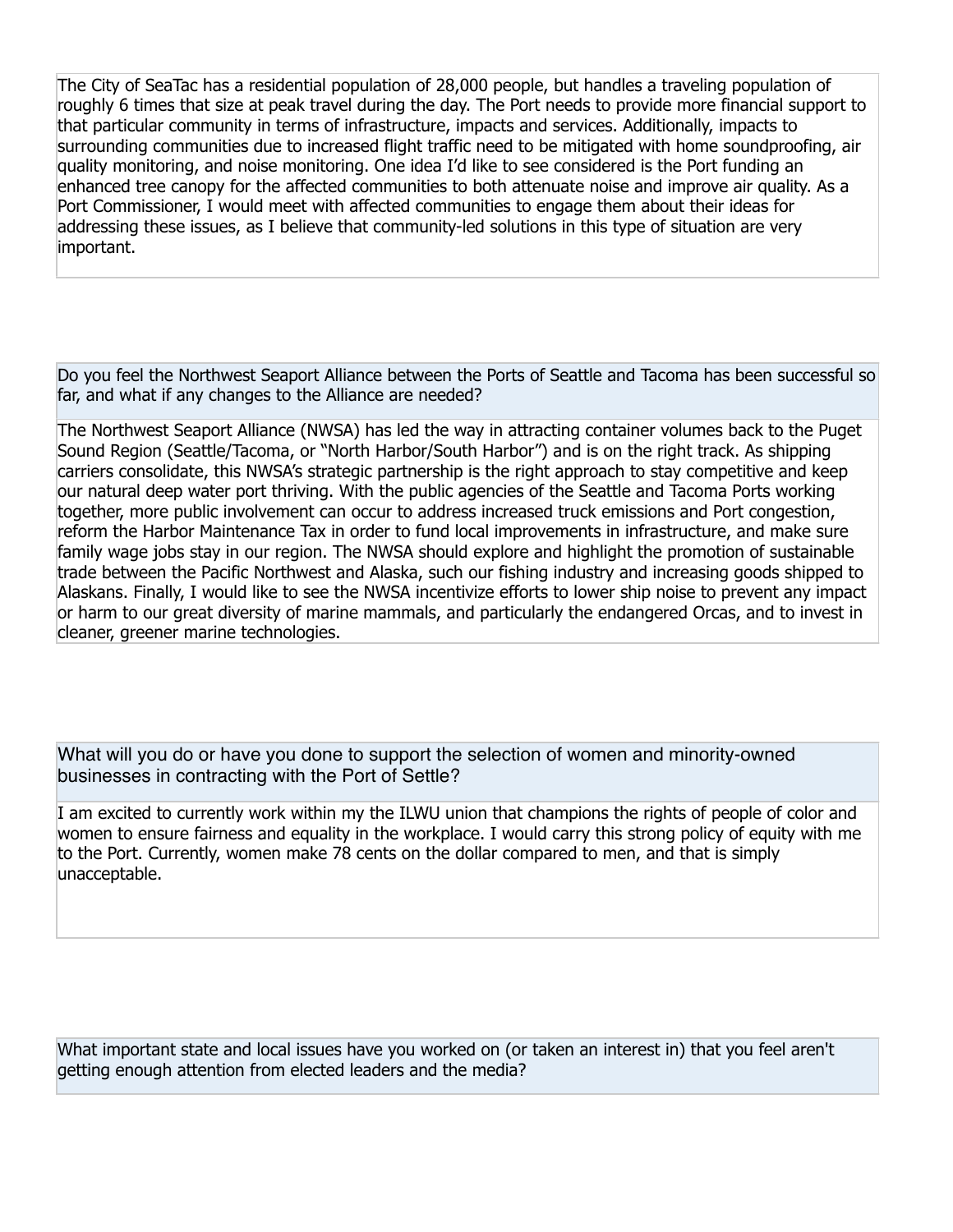The City of SeaTac has a residential population of 28,000 people, but handles a traveling population of roughly 6 times that size at peak travel during the day. The Port needs to provide more financial support to that particular community in terms of infrastructure, impacts and services. Additionally, impacts to surrounding communities due to increased flight traffic need to be mitigated with home soundproofing, air quality monitoring, and noise monitoring. One idea I'd like to see considered is the Port funding an enhanced tree canopy for the affected communities to both attenuate noise and improve air quality. As a Port Commissioner, I would meet with affected communities to engage them about their ideas for addressing these issues, as I believe that community-led solutions in this type of situation are very important.

Do you feel the Northwest Seaport Alliance between the Ports of Seattle and Tacoma has been successful so far, and what if any changes to the Alliance are needed?

The Northwest Seaport Alliance (NWSA) has led the way in attracting container volumes back to the Puget Sound Region (Seattle/Tacoma, or "North Harbor/South Harbor") and is on the right track. As shipping carriers consolidate, this NWSA's strategic partnership is the right approach to stay competitive and keep our natural deep water port thriving. With the public agencies of the Seattle and Tacoma Ports working together, more public involvement can occur to address increased truck emissions and Port congestion, reform the Harbor Maintenance Tax in order to fund local improvements in infrastructure, and make sure family wage jobs stay in our region. The NWSA should explore and highlight the promotion of sustainable trade between the Pacific Northwest and Alaska, such our fishing industry and increasing goods shipped to Alaskans. Finally, I would like to see the NWSA incentivize efforts to lower ship noise to prevent any impact or harm to our great diversity of marine mammals, and particularly the endangered Orcas, and to invest in cleaner, greener marine technologies.

What will you do or have you done to support the selection of women and minority-owned businesses in contracting with the Port of Settle?

I am excited to currently work within my the ILWU union that champions the rights of people of color and women to ensure fairness and equality in the workplace. I would carry this strong policy of equity with me to the Port. Currently, women make 78 cents on the dollar compared to men, and that is simply unacceptable.

What important state and local issues have you worked on (or taken an interest in) that you feel aren't getting enough attention from elected leaders and the media?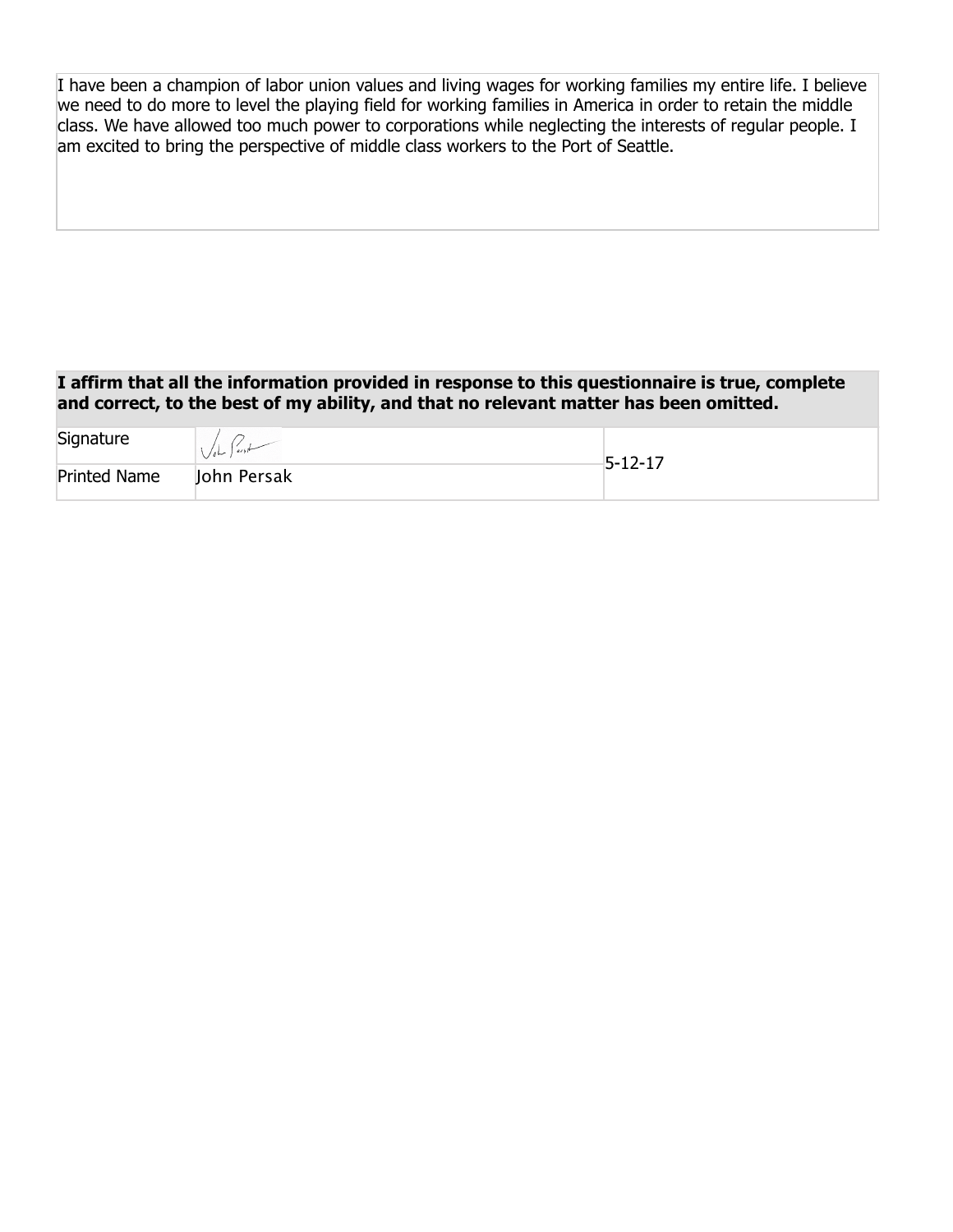| I have been a champion of labor union values and living wages for working families my entire life. I believe |
|--------------------------------------------------------------------------------------------------------------|
| we need to do more to level the playing field for working families in America in order to retain the middle  |
| class. We have allowed too much power to corporations while neglecting the interests of regular people. I    |
| am excited to bring the perspective of middle class workers to the Port of Seattle.                          |

## **I affirm that all the information provided in response to this questionnaire is true, complete and correct, to the best of my ability, and that no relevant matter has been omitted.**

| Signature           |             | $-5 - 12 - 17$ |
|---------------------|-------------|----------------|
| <b>Printed Name</b> | John Persak |                |